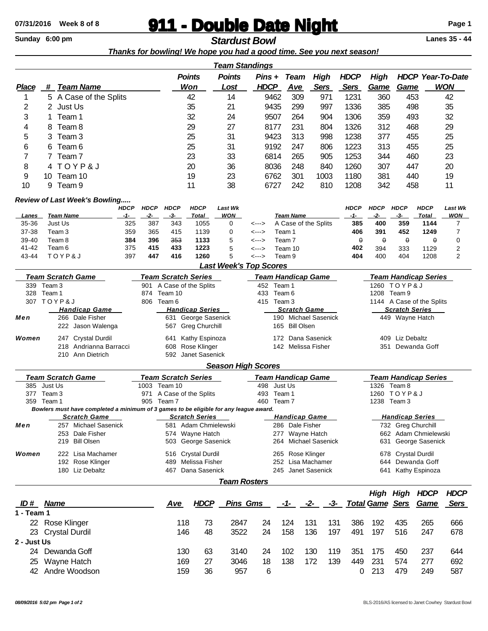## **911 - Double Date Night** Page 1<br> **Sunday 6:00 pm**<br> **Page 1**<br> **Ctardust Rowl**

**Sunday 6:00 pm Stardust Bowl Stardust Bowl** 

|                |                                    |                   |                                                                                       |                                         |                            |                            |                    |                       |                               |                     |                         |                      |                           | Thanks for bowling! We hope you had a good time. See you next season! |                             |                             |              |                          |  |
|----------------|------------------------------------|-------------------|---------------------------------------------------------------------------------------|-----------------------------------------|----------------------------|----------------------------|--------------------|-----------------------|-------------------------------|---------------------|-------------------------|----------------------|---------------------------|-----------------------------------------------------------------------|-----------------------------|-----------------------------|--------------|--------------------------|--|
|                |                                    |                   |                                                                                       |                                         |                            |                            |                    |                       | <u>Team Standings</u>         |                     |                         |                      |                           |                                                                       |                             |                             |              |                          |  |
|                |                                    |                   |                                                                                       |                                         |                            |                            | <b>Points</b>      |                       | <b>Points</b>                 |                     | Pins +                  | <b>Team</b>          | <b>High</b>               | <b>HDCP</b>                                                           | <b>High</b>                 |                             |              | <b>HDCP Year-To-Date</b> |  |
| <b>Place</b>   |                                    |                   | # Team Name                                                                           |                                         |                            |                            | Won                |                       | Lost                          |                     | <b>HDCP</b>             | <b>Ave</b>           | <b>Sers</b>               | <b>Sers</b>                                                           | Game                        | <b>Game</b>                 |              | <b>WON</b>               |  |
| 1              |                                    |                   | 5 A Case of the Splits                                                                |                                         |                            |                            | 42                 |                       | 14                            |                     | 9462                    | 309                  | 971                       | 1231                                                                  | 360                         | 453                         |              | 42                       |  |
| 2              | 2 Just Us                          |                   |                                                                                       |                                         |                            |                            | 35                 |                       | 21                            |                     | 9435                    | 299                  | 997                       | 1336                                                                  | 385                         | 498                         |              | 35                       |  |
| 3              | Team 1<br>1                        |                   |                                                                                       | 32                                      |                            |                            |                    | 24                    |                               | 9507<br>264<br>904  |                         | 1306                 | 359                       | 493                                                                   |                             | 32                          |              |                          |  |
| 4              | Team 8<br>8                        |                   |                                                                                       |                                         | 29                         |                            |                    | 27                    |                               | 231<br>8177<br>804  |                         |                      | 1326                      | 312                                                                   | 468                         |                             | 29           |                          |  |
| 5              | Team 3<br>3                        |                   |                                                                                       |                                         | 25                         |                            |                    | 31                    |                               | 9423<br>313         |                         | 1238<br>998          |                           | 377                                                                   | 455                         |                             | 25           |                          |  |
| 6              | Team <sub>6</sub><br>6             |                   |                                                                                       |                                         | 25                         |                            |                    | 31                    |                               | 9192                |                         | 247<br>806           |                           | 313                                                                   | 455                         |                             | 25           |                          |  |
| 7              | 7                                  | Team <sub>7</sub> |                                                                                       |                                         |                            | 23                         |                    |                       | 33                            | 6814                |                         | 265<br>905           |                           | 1253                                                                  | 344                         | 460                         |              | 23                       |  |
| 8              |                                    | 4 TOYP&J          |                                                                                       |                                         |                            | 20                         |                    |                       | 36                            | 8036                |                         | 248<br>840           |                           | 1260                                                                  | 307                         |                             | 20<br>447    |                          |  |
| 9              | Team 10<br>10.                     |                   |                                                                                       |                                         | 19                         |                            |                    | 23                    | 6762                          |                     | 301<br>1003             |                      | 1180                      | 381                                                                   | 19<br>440                   |                             |              |                          |  |
| 10             | 9                                  | Team 9            |                                                                                       |                                         |                            | 11                         |                    |                       | 38                            | 6727                |                         | 242<br>810           |                           | 1208                                                                  | 342                         | 458                         |              | 11                       |  |
|                |                                    |                   | Review of Last Week's Bowling                                                         |                                         |                            |                            |                    |                       |                               |                     |                         |                      |                           |                                                                       |                             |                             |              |                          |  |
|                |                                    |                   |                                                                                       | <b>HDCP</b>                             | <b>HDCP</b>                | <b>HDCP</b>                |                    | <b>HDCP</b>           | <b>Last Wk</b>                |                     |                         |                      |                           | <b>HDCP</b>                                                           | <b>HDCP</b>                 | <b>HDCP</b>                 | <b>HDCP</b>  | <b>Last Wk</b>           |  |
| Lanes          | <b>Team Name</b>                   |                   |                                                                                       | $-1-$                                   | $-2-$                      | $-3-$                      |                    | <b>Total</b>          | <b>WON</b>                    |                     |                         | <b>Team Name</b>     |                           | $-1-$                                                                 | $-2-$                       | -3-                         | <b>Total</b> | <b>WON</b>               |  |
| 35-36<br>37-38 | Just Us                            |                   |                                                                                       | 325                                     | 387                        | 343                        |                    | 1055                  | 0                             | <--->               |                         |                      | A Case of the Splits      | 385<br>406                                                            | 400<br>391                  | 359                         | 1144<br>1249 | 7<br>7                   |  |
| 39-40          | Team 3<br>Team 8                   |                   |                                                                                       | 359<br>384                              | 365<br>396                 | 415<br>353                 |                    | 1139<br>1133          | 0<br>5                        | <---><br><--->      |                         | Team 1<br>Team 7     |                           | θ                                                                     | θ                           | 452<br>$\theta$             | θ            | 0                        |  |
| 41-42          | Team 6                             |                   |                                                                                       | 375                                     | 415                        | 433                        |                    | 1223                  | 5                             | <--->               |                         | Team 10              |                           | 402                                                                   | 394                         | 333                         | 1129         | $\overline{2}$           |  |
| 43-44          | TOYP&J                             |                   |                                                                                       | 397                                     | 447                        | 416                        |                    | 1260                  | 5                             | <--->               |                         | Team 9               |                           | 404                                                                   | 400                         | 404                         | 1208         | $\overline{2}$           |  |
|                |                                    |                   |                                                                                       |                                         |                            |                            |                    |                       | <b>Last Week's Top Scores</b> |                     |                         |                      |                           |                                                                       |                             |                             |              |                          |  |
|                |                                    |                   | <b>Team Scratch Game</b>                                                              |                                         |                            | <b>Team Scratch Series</b> |                    |                       |                               |                     |                         |                      | <b>Team Handicap Game</b> |                                                                       | <b>Team Handicap Series</b> |                             |              |                          |  |
|                | 339 Team 3                         |                   |                                                                                       |                                         | 901                        | A Case of the Splits       |                    |                       |                               |                     | 452 Team 1              |                      |                           |                                                                       |                             | 1260 TOYP&J                 |              |                          |  |
| 328            | Team 1                             |                   |                                                                                       | 874                                     | Team 10                    |                            |                    |                       | 433<br>Team 6<br>415 Team 3   |                     |                         |                      |                           | 1208 Team 9                                                           |                             |                             |              |                          |  |
|                | 307 TOYP&J<br><b>Handicap Game</b> |                   |                                                                                       | 806<br>Team 6<br><b>Handicap Series</b> |                            |                            |                    |                       |                               |                     | <b>Scratch Game</b>     |                      |                           | 1144 A Case of the Splits<br><b>Scratch Series</b>                    |                             |                             |              |                          |  |
| Men            | 266 Dale Fisher                    |                   |                                                                                       |                                         |                            | 631 George Sasenick        |                    |                       |                               |                     |                         | 190 Michael Sasenick |                           |                                                                       | 449 Wayne Hatch             |                             |              |                          |  |
|                |                                    |                   | 222 Jason Walenga                                                                     |                                         |                            |                            |                    | 567 Greg Churchill    |                               |                     |                         | 165 Bill Olsen       |                           |                                                                       |                             |                             |              |                          |  |
| Women          | 247 Crystal Durdil                 |                   |                                                                                       | Kathy Espinoza<br>641                   |                            |                            |                    |                       |                               |                     |                         | 172 Dana Sasenick    |                           | 409 Liz Debaltz                                                       |                             |                             |              |                          |  |
|                | 218 Andrianna Barracci             |                   |                                                                                       | 608 Rose Klinger                        |                            |                            |                    |                       | 142 Melissa Fisher            |                     |                         |                      |                           | 351 Dewanda Goff                                                      |                             |                             |              |                          |  |
|                | 210 Ann Dietrich                   |                   |                                                                                       | 592 Janet Sasenick                      |                            |                            |                    |                       |                               |                     |                         |                      |                           |                                                                       |                             |                             |              |                          |  |
|                |                                    |                   |                                                                                       |                                         |                            |                            |                    |                       | <b>Season High Scores</b>     |                     |                         |                      |                           |                                                                       |                             |                             |              |                          |  |
|                |                                    |                   | <b>Team Scratch Game</b>                                                              |                                         | <b>Team Scratch Series</b> |                            |                    |                       |                               |                     |                         |                      | <b>Team Handicap Game</b> |                                                                       |                             | <b>Team Handicap Series</b> |              |                          |  |
|                | 385 Just Us                        |                   |                                                                                       |                                         | 1003                       | Team 10                    |                    |                       |                               | 498                 |                         | Just Us              |                           |                                                                       | 1326                        | Team 8                      |              |                          |  |
|                | 377 Team 3                         |                   |                                                                                       |                                         | 971                        | A Case of the Splits       |                    |                       |                               |                     | 493 Team 1              |                      |                           |                                                                       |                             | 1260 TOYP&J                 |              |                          |  |
|                | 359 Team 1                         |                   | Bowlers must have completed a minimum of 3 games to be eligible for any league award. |                                         | 905 Team 7                 |                            |                    |                       |                               |                     | 460 Team 7              |                      |                           |                                                                       | 1238 Team 3                 |                             |              |                          |  |
|                |                                    |                   | <b>Scratch Game</b>                                                                   |                                         |                            |                            |                    | <b>Scratch Series</b> |                               |                     |                         |                      | <b>Handicap Game</b>      |                                                                       |                             | <b>Handicap Series</b>      |              |                          |  |
| Men            |                                    |                   | 257 Michael Sasenick                                                                  |                                         |                            |                            |                    | 581 Adam Chmielewski  |                               |                     |                         | 286 Dale Fisher      |                           |                                                                       |                             | 732 Greg Churchill          |              |                          |  |
|                | 253 Dale Fisher                    |                   | 574 Wayne Hatch                                                                       |                                         |                            |                            |                    | Wayne Hatch<br>277    |                               |                     |                         | 662 Adam Chmielewski |                           |                                                                       |                             |                             |              |                          |  |
|                | <b>Bill Olsen</b><br>219           |                   |                                                                                       | 503 George Sasenick                     |                            |                            |                    |                       | 264                           |                     | <b>Michael Sasenick</b> |                      | George Sasenick<br>631    |                                                                       |                             |                             |              |                          |  |
| Women          |                                    |                   | 222 Lisa Machamer                                                                     |                                         |                            |                            |                    | 516 Crystal Durdil    |                               |                     |                         | 265 Rose Klinger     |                           |                                                                       |                             | 678 Crystal Durdil          |              |                          |  |
|                | 192 Rose Klinger                   |                   |                                                                                       |                                         |                            |                            | 489 Melissa Fisher |                       |                               |                     |                         | 252 Lisa Machamer    |                           |                                                                       | 644 Dewanda Goff            |                             |              |                          |  |
|                |                                    |                   | 180 Liz Debaltz                                                                       |                                         |                            | 467                        |                    | Dana Sasenick         |                               |                     |                         |                      | 245 Janet Sasenick        |                                                                       | 641 Kathy Espinoza          |                             |              |                          |  |
|                |                                    |                   |                                                                                       |                                         |                            |                            |                    |                       |                               | <b>Team Rosters</b> |                         |                      |                           |                                                                       |                             |                             |              |                          |  |
|                |                                    |                   |                                                                                       |                                         |                            |                            |                    |                       |                               |                     |                         |                      |                           |                                                                       |                             | <b>High High HDCP</b>       |              | <b>HDCP</b>              |  |
| ID# Name       |                                    |                   |                                                                                       |                                         |                            | <u>Ave</u>                 |                    | <b>HDCP</b>           |                               | <b>Pins Gms</b>     |                         | -1-                  | -2-                       | -3-                                                                   | <b>Total Game Sers Game</b> |                             |              | <u>Sers</u>              |  |
| 1 - Team 1     |                                    |                   |                                                                                       |                                         |                            |                            |                    |                       |                               |                     |                         |                      |                           |                                                                       |                             |                             |              |                          |  |
|                | 22 Rose Klinger                    |                   |                                                                                       |                                         |                            |                            | 118                | 73                    | 2847                          | 24                  |                         | 124                  | 131<br>131                | 386                                                                   | 192                         | 435                         | 265          | 666                      |  |